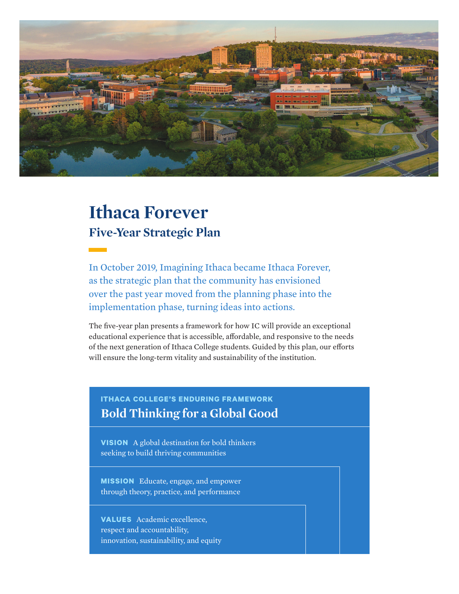

# **Ithaca Forever Five-Year Strategic Plan**

In October 2019, Imagining Ithaca became Ithaca Forever, as the strategic plan that the community has envisioned over the past year moved from the planning phase into the implementation phase, turning ideas into actions.

The five-year plan presents a framework for how IC will provide an exceptional educational experience that is accessible, affordable, and responsive to the needs of the next generation of Ithaca College students. Guided by this plan, our efforts will ensure the long-term vitality and sustainability of the institution.

# **ITHACA COLLEGE'S ENDURING FRAMEWORK Bold Thinking for a Global Good**

**VISION** A global destination for bold thinkers seeking to build thriving communities

**MISSION** Educate, engage, and empower through theory, practice, and performance

**VALUES** Academic excellence, respect and accountability, innovation, sustainability, and equity